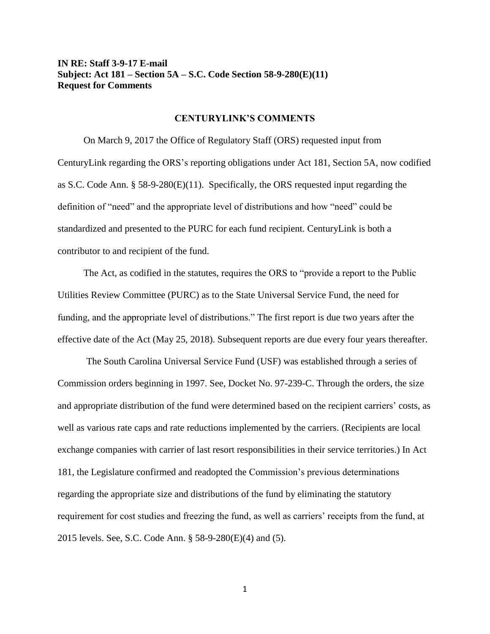## **IN RE: Staff 3-9-17 E-mail Subject: Act 181 – Section 5A – S.C. Code Section 58-9-280(E)(11) Request for Comments**

## **CENTURYLINK'S COMMENTS**

On March 9, 2017 the Office of Regulatory Staff (ORS) requested input from CenturyLink regarding the ORS's reporting obligations under Act 181, Section 5A, now codified as S.C. Code Ann. § 58-9-280(E)(11). Specifically, the ORS requested input regarding the definition of "need" and the appropriate level of distributions and how "need" could be standardized and presented to the PURC for each fund recipient. CenturyLink is both a contributor to and recipient of the fund.

The Act, as codified in the statutes, requires the ORS to "provide a report to the Public Utilities Review Committee (PURC) as to the State Universal Service Fund, the need for funding, and the appropriate level of distributions." The first report is due two years after the effective date of the Act (May 25, 2018). Subsequent reports are due every four years thereafter.

The South Carolina Universal Service Fund (USF) was established through a series of Commission orders beginning in 1997. See, Docket No. 97-239-C. Through the orders, the size and appropriate distribution of the fund were determined based on the recipient carriers' costs, as well as various rate caps and rate reductions implemented by the carriers. (Recipients are local exchange companies with carrier of last resort responsibilities in their service territories.) In Act 181, the Legislature confirmed and readopted the Commission's previous determinations regarding the appropriate size and distributions of the fund by eliminating the statutory requirement for cost studies and freezing the fund, as well as carriers' receipts from the fund, at 2015 levels. See, S.C. Code Ann. § 58-9-280(E)(4) and (5).

1